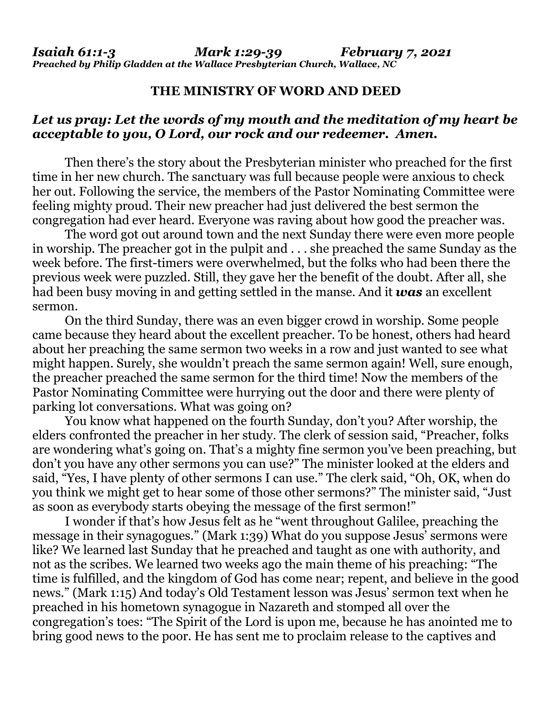## **THE MINISTRY OF WORD AND DEED**

## *Let us pray: Let the words of my mouth and the meditation of my heart be acceptable to you, O Lord, our rock and our redeemer. Amen.*

Then there's the story about the Presbyterian minister who preached for the first time in her new church. The sanctuary was full because people were anxious to check her out. Following the service, the members of the Pastor Nominating Committee were feeling mighty proud. Their new preacher had just delivered the best sermon the congregation had ever heard. Everyone was raving about how good the preacher was.

The word got out around town and the next Sunday there were even more people in worship. The preacher got in the pulpit and . . . she preached the same Sunday as the week before. The first-timers were overwhelmed, but the folks who had been there the previous week were puzzled. Still, they gave her the benefit of the doubt. After all, she had been busy moving in and getting settled in the manse. And it *was* an excellent sermon.

On the third Sunday, there was an even bigger crowd in worship. Some people came because they heard about the excellent preacher. To be honest, others had heard about her preaching the same sermon two weeks in a row and just wanted to see what might happen. Surely, she wouldn't preach the same sermon again! Well, sure enough, the preacher preached the same sermon for the third time! Now the members of the Pastor Nominating Committee were hurrying out the door and there were plenty of parking lot conversations. What was going on?

You know what happened on the fourth Sunday, don't you? After worship, the elders confronted the preacher in her study. The clerk of session said, "Preacher, folks are wondering what's going on. That's a mighty fine sermon you've been preaching, but don't you have any other sermons you can use?" The minister looked at the elders and said, "Yes, I have plenty of other sermons I can use." The clerk said, "Oh, OK, when do you think we might get to hear some of those other sermons?" The minister said, "Just as soon as everybody starts obeying the message of the first sermon!"

I wonder if that's how Jesus felt as he "went throughout Galilee, preaching the message in their synagogues." (Mark 1:39) What do you suppose Jesus' sermons were like? We learned last Sunday that he preached and taught as one with authority, and not as the scribes. We learned two weeks ago the main theme of his preaching: "The time is fulfilled, and the kingdom of God has come near; repent, and believe in the good news." (Mark 1:15) And today's Old Testament lesson was Jesus' sermon text when he preached in his hometown synagogue in Nazareth and stomped all over the congregation's toes: "The Spirit of the Lord is upon me, because he has anointed me to bring good news to the poor. He has sent me to proclaim release to the captives and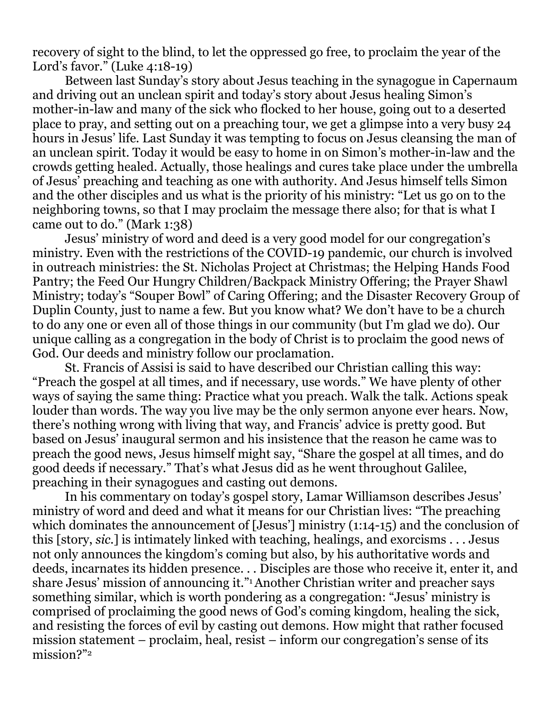recovery of sight to the blind, to let the oppressed go free, to proclaim the year of the Lord's favor." (Luke 4:18-19)

Between last Sunday's story about Jesus teaching in the synagogue in Capernaum and driving out an unclean spirit and today's story about Jesus healing Simon's mother-in-law and many of the sick who flocked to her house, going out to a deserted place to pray, and setting out on a preaching tour, we get a glimpse into a very busy 24 hours in Jesus' life. Last Sunday it was tempting to focus on Jesus cleansing the man of an unclean spirit. Today it would be easy to home in on Simon's mother-in-law and the crowds getting healed. Actually, those healings and cures take place under the umbrella of Jesus' preaching and teaching as one with authority. And Jesus himself tells Simon and the other disciples and us what is the priority of his ministry: "Let us go on to the neighboring towns, so that I may proclaim the message there also; for that is what I came out to do." (Mark 1:38)

Jesus' ministry of word and deed is a very good model for our congregation's ministry. Even with the restrictions of the COVID-19 pandemic, our church is involved in outreach ministries: the St. Nicholas Project at Christmas; the Helping Hands Food Pantry; the Feed Our Hungry Children/Backpack Ministry Offering; the Prayer Shawl Ministry; today's "Souper Bowl" of Caring Offering; and the Disaster Recovery Group of Duplin County, just to name a few. But you know what? We don't have to be a church to do any one or even all of those things in our community (but I'm glad we do). Our unique calling as a congregation in the body of Christ is to proclaim the good news of God. Our deeds and ministry follow our proclamation.

St. Francis of Assisi is said to have described our Christian calling this way: "Preach the gospel at all times, and if necessary, use words." We have plenty of other ways of saying the same thing: Practice what you preach. Walk the talk. Actions speak louder than words. The way you live may be the only sermon anyone ever hears. Now, there's nothing wrong with living that way, and Francis' advice is pretty good. But based on Jesus' inaugural sermon and his insistence that the reason he came was to preach the good news, Jesus himself might say, "Share the gospel at all times, and do good deeds if necessary." That's what Jesus did as he went throughout Galilee, preaching in their synagogues and casting out demons.

In his commentary on today's gospel story, Lamar Williamson describes Jesus' ministry of word and deed and what it means for our Christian lives: "The preaching which dominates the announcement of [Jesus'] ministry (1:14-15) and the conclusion of this [story, *sic.*] is intimately linked with teaching, healings, and exorcisms . . . Jesus not only announces the kingdom's coming but also, by his authoritative words and deeds, incarnates its hidden presence. . . Disciples are those who receive it, enter it, and share Jesus' mission of announcing it."1Another Christian writer and preacher says something similar, which is worth pondering as a congregation: "Jesus' ministry is comprised of proclaiming the good news of God's coming kingdom, healing the sick, and resisting the forces of evil by casting out demons. How might that rather focused mission statement – proclaim, heal, resist – inform our congregation's sense of its mission?"2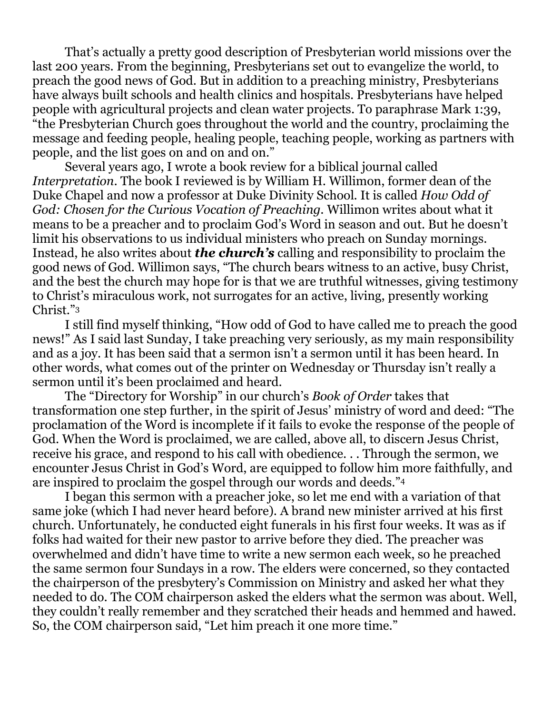That's actually a pretty good description of Presbyterian world missions over the last 200 years. From the beginning, Presbyterians set out to evangelize the world, to preach the good news of God. But in addition to a preaching ministry, Presbyterians have always built schools and health clinics and hospitals. Presbyterians have helped people with agricultural projects and clean water projects. To paraphrase Mark 1:39, "the Presbyterian Church goes throughout the world and the country, proclaiming the message and feeding people, healing people, teaching people, working as partners with people, and the list goes on and on and on."

Several years ago, I wrote a book review for a biblical journal called *Interpretation*. The book I reviewed is by William H. Willimon, former dean of the Duke Chapel and now a professor at Duke Divinity School. It is called *How Odd of God: Chosen for the Curious Vocation of Preaching.* Willimon writes about what it means to be a preacher and to proclaim God's Word in season and out. But he doesn't limit his observations to us individual ministers who preach on Sunday mornings. Instead, he also writes about *the church's* calling and responsibility to proclaim the good news of God. Willimon says, "The church bears witness to an active, busy Christ, and the best the church may hope for is that we are truthful witnesses, giving testimony to Christ's miraculous work, not surrogates for an active, living, presently working Christ."<sup>3</sup>

I still find myself thinking, "How odd of God to have called me to preach the good news!" As I said last Sunday, I take preaching very seriously, as my main responsibility and as a joy. It has been said that a sermon isn't a sermon until it has been heard. In other words, what comes out of the printer on Wednesday or Thursday isn't really a sermon until it's been proclaimed and heard.

The "Directory for Worship" in our church's *Book of Order* takes that transformation one step further, in the spirit of Jesus' ministry of word and deed: "The proclamation of the Word is incomplete if it fails to evoke the response of the people of God. When the Word is proclaimed, we are called, above all, to discern Jesus Christ, receive his grace, and respond to his call with obedience. . . Through the sermon, we encounter Jesus Christ in God's Word, are equipped to follow him more faithfully, and are inspired to proclaim the gospel through our words and deeds."<sup>4</sup>

I began this sermon with a preacher joke, so let me end with a variation of that same joke (which I had never heard before). A brand new minister arrived at his first church. Unfortunately, he conducted eight funerals in his first four weeks. It was as if folks had waited for their new pastor to arrive before they died. The preacher was overwhelmed and didn't have time to write a new sermon each week, so he preached the same sermon four Sundays in a row. The elders were concerned, so they contacted the chairperson of the presbytery's Commission on Ministry and asked her what they needed to do. The COM chairperson asked the elders what the sermon was about. Well, they couldn't really remember and they scratched their heads and hemmed and hawed. So, the COM chairperson said, "Let him preach it one more time."